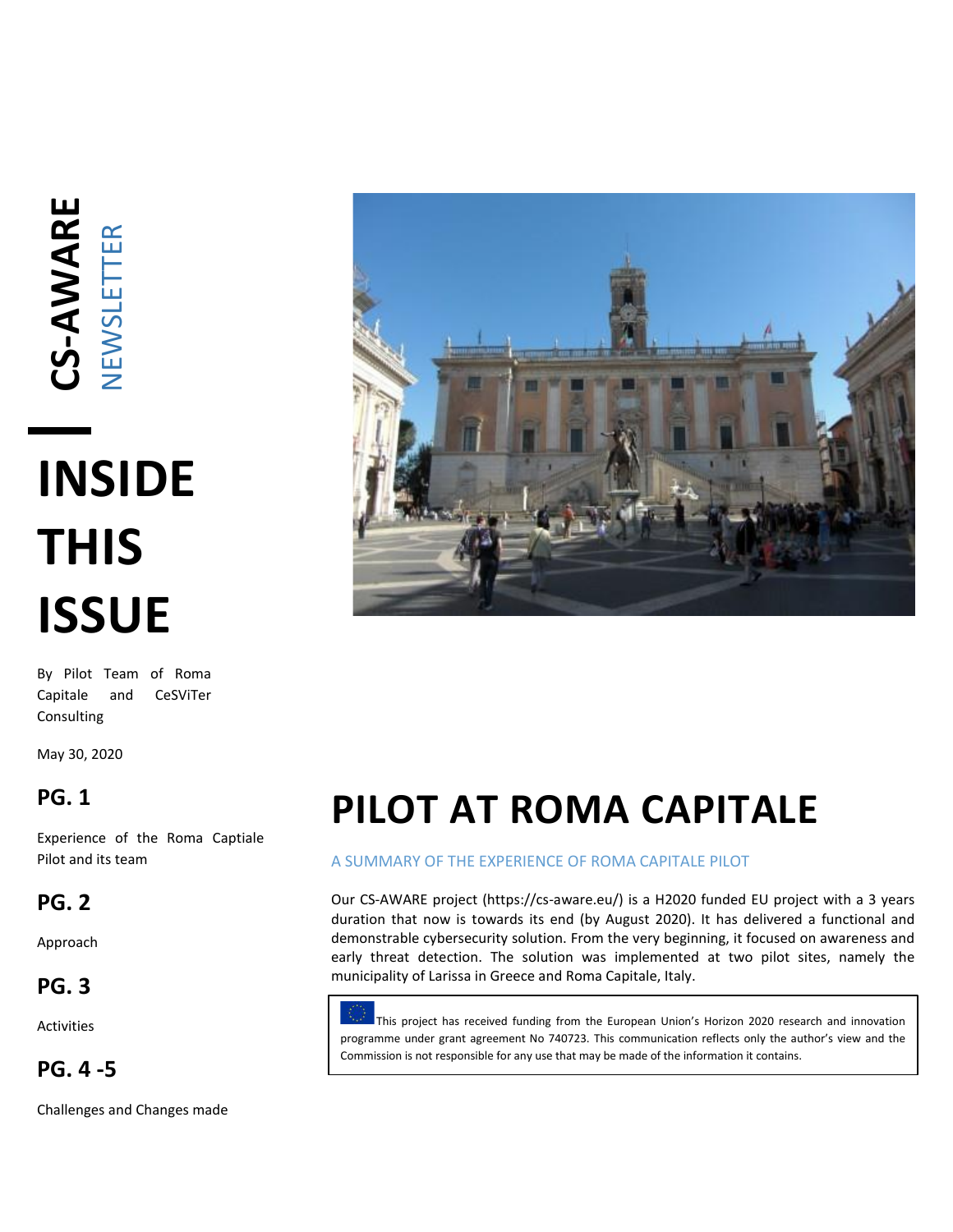# **CS -AWARE** NEWSLETTER

# **INSIDE THIS ISSUE**

By Pilot Team of Roma Capitale and CeSViTer Consulting

May 30, 2020

### **PG. 1**

Experience of the Roma Captiale Pilot and its team

### **PG. 2**

Approach

### **PG. 3**

Activities

### **PG. 4 -5**

Challenges and Changes made



## **PILOT AT ROMA CAPITALE**

#### A SUMMARY OF THE EXPERIENCE OF ROMA CAPITALE PILOT

Our CS-AWARE project (https://cs-aware.eu/) is a H2020 funded EU project with a 3 years duration that now is towards its end (by August 2020). It has delivered a functional and demonstrable cybersecurity solution. From the very beginning, it focused on awareness and early threat detection. The solution was implemented at two pilot sites, namely the municipality of Larissa in Greece and Roma Capitale, Italy.

This project has received funding from the European Union's Horizon 2020 research and innovation programme under grant agreement No 740723. This communication reflects only the author's view and the Commission is not responsible for any use that may be made of the information it contains.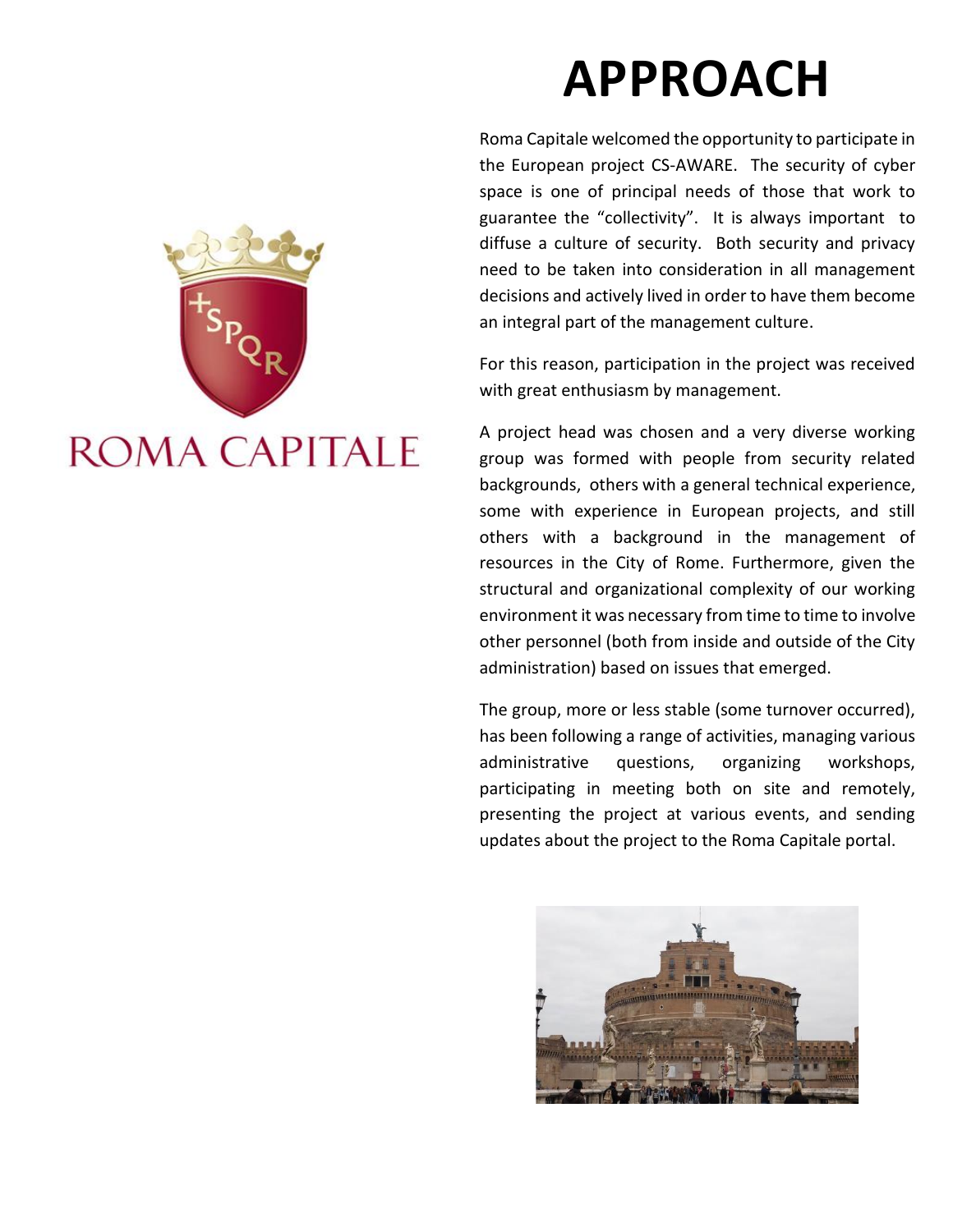# **APPROACH**

Roma Capitale welcomed the opportunity to participate in the European project CS -AWARE. The security of cyber space is one of principal needs of those that work to guarantee the "collectivity". It is always important to diffuse a culture of security. Both security and privacy need to be taken into consideration in all management decisions and actively lived in order to have them become an integral part of the management culture.

For this reason, participation in the project was received with great enthusiasm by management.

A project head was chosen and a very diverse working group was formed with people from security related backgrounds, others with a general technical experience, some with experience in European projects, and still others with a background in the management of resources in the City of Rome. Furthermore, given the structural and organizational complexity of our working environment it was necessary from time to time to involve other personnel (both from inside and outside of the City administration) based on issues that emerged.

The group, more or less stable (some turnover occurred), has been following a range of activities, managing various administrative questions, organizing workshops, participating in meeting both on site and remotely, presenting the project at various events, and sending updates about the project to the Roma Capitale portal.



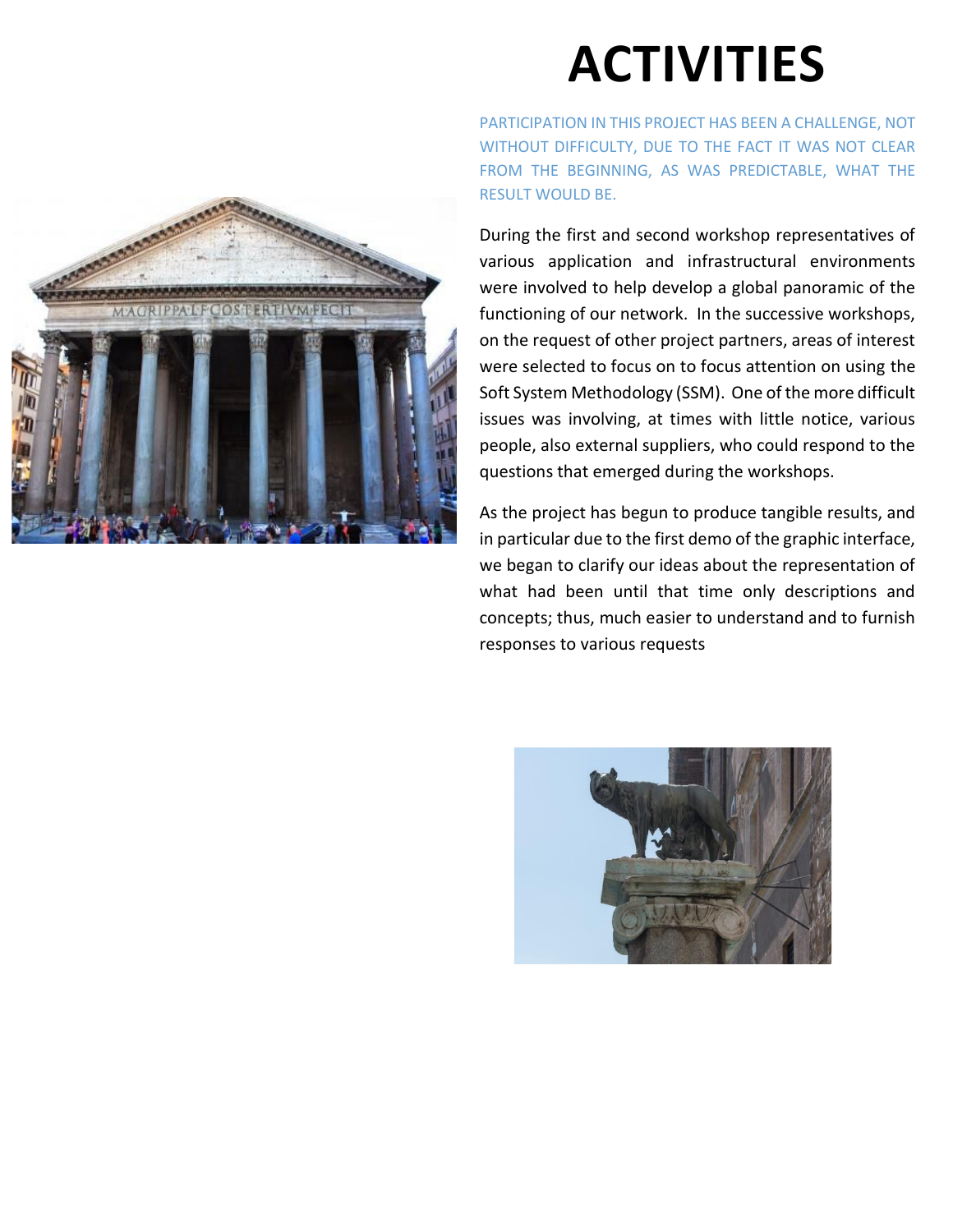

# **ACTIVITIES**

PARTICIPATION IN THIS PROJECT HAS BEEN A CHALLENGE, NOT WITHOUT DIFFICULTY, DUE TO THE FACT IT WAS NOT CLEAR FROM THE BEGINNING, AS WAS PREDICTABLE, WHAT THE RESULT WOULD BE.

During the first and second workshop representatives of various application and infrastructural environments were involved to help develop a global panoramic of the functioning of our network. In the successive workshops, on the request of other project partners, areas of interest were selected to focus on to focus attention on using the Soft System Methodology (SSM). One of the more difficult issues was involving, at times with little notice, various people, also external suppliers, who could respond to the questions that emerged during the workshops.

As the project has begun to produce tangible results, and in particular due to the first demo of the graphic interface, we began to clarify our ideas about the representation of what had been until that time only descriptions and concepts; thus, much easier to understand and to furnish responses to various requests

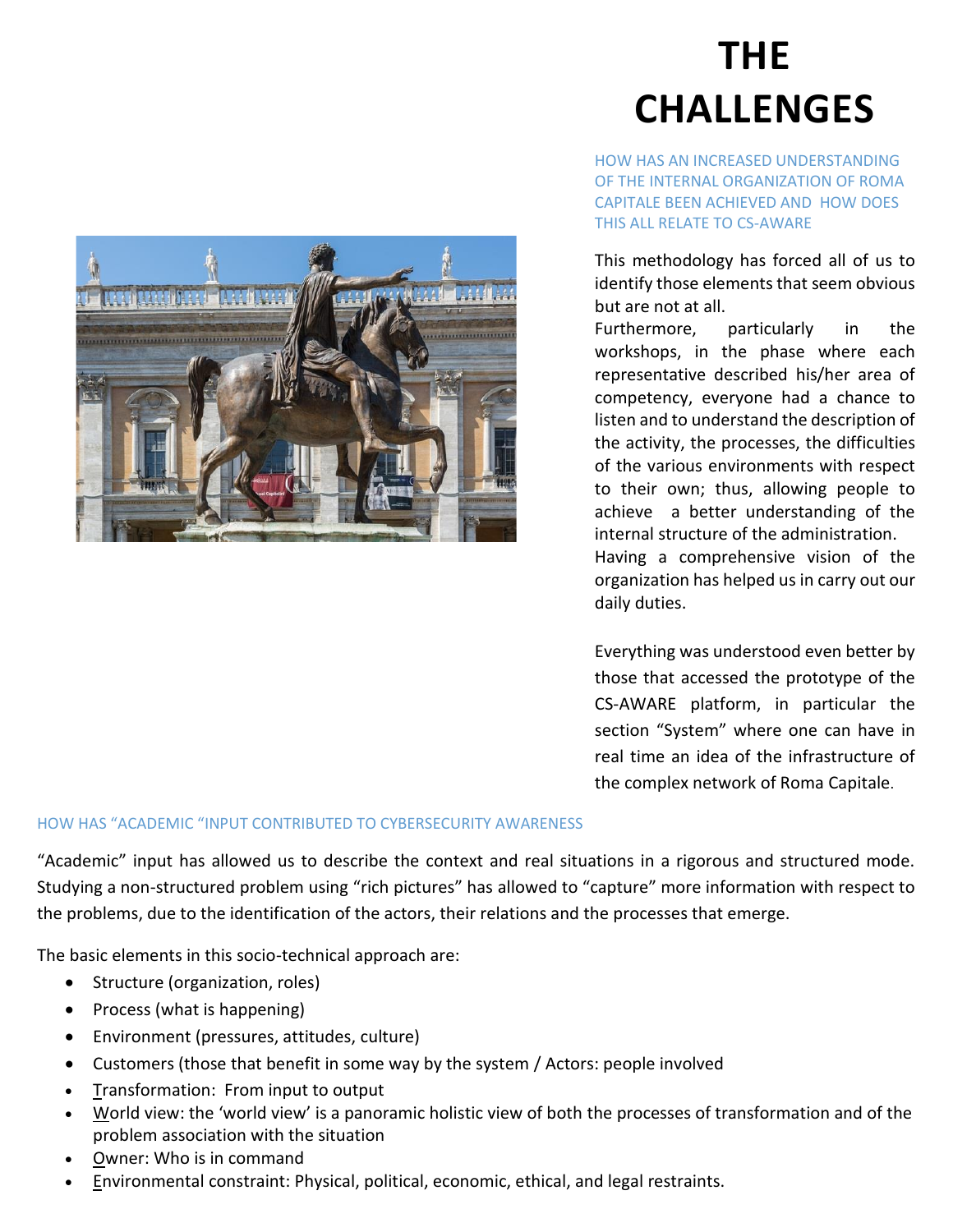

## **THE CHALLENGES**

HOW HAS AN INCREASED UNDERSTANDING OF THE INTERNAL ORGANIZATION OF ROMA CAPITALE BEEN ACHIEVED AND HOW DOES THIS ALL RELATE TO CS-AWARE

This methodology has forced all of us to identify those elements that seem obvious but are not at all.

Furthermore, particularly in the workshops, in the phase where each representative described his/her area of competency, everyone had a chance to listen and to understand the description of the activity, the processes, the difficulties of the various environments with respect to their own; thus, allowing people to achieve a better understanding of the internal structure of the administration. Having a comprehensive vision of the organization has helped us in carry out our daily duties.

Everything was understood even better by those that accessed the prototype of the CS-AWARE platform, in particular the section "System" where one can have in real time an idea of the infrastructure of the complex network of Roma Capitale.

#### HOW HAS "ACADEMIC "INPUT CONTRIBUTED TO CYBERSECURITY AWARENESS

"Academic" input has allowed us to describe the context and real situations in a rigorous and structured mode. Studying a non-structured problem using "rich pictures" has allowed to "capture" more information with respect to the problems, due to the identification of the actors, their relations and the processes that emerge.

The basic elements in this socio-technical approach are:

- Structure (organization, roles)
- Process (what is happening)
- Environment (pressures, attitudes, culture)
- Customers (those that benefit in some way by the system / Actors: people involved
- Transformation: From input to output
- World view: the 'world view' is a panoramic holistic view of both the processes of transformation and of the problem association with the situation
- Owner: Who is in command
- Environmental constraint: Physical, political, economic, ethical, and legal restraints.